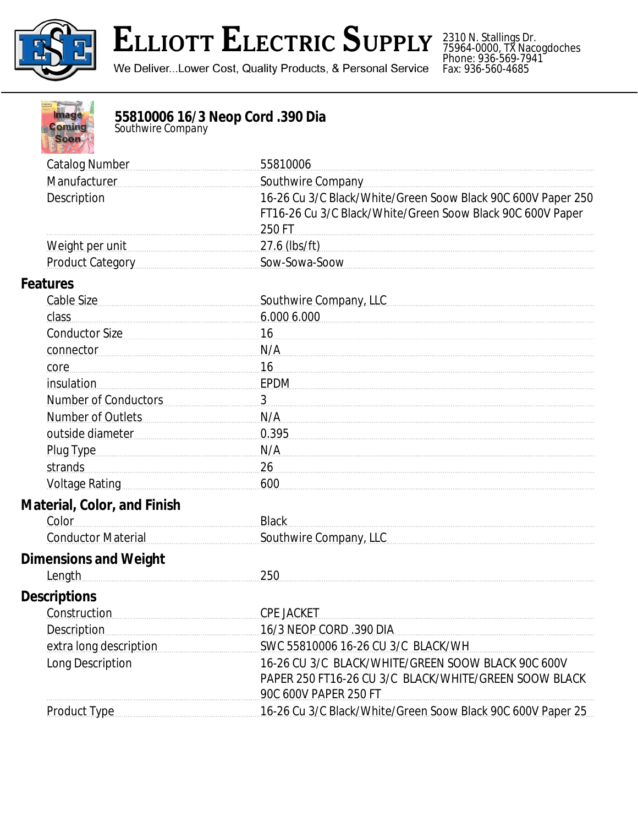

## **ELLIOTT ELECTRIC SUPPLY**

We Deliver...Lower Cost, Quality Products, & Personal Service

2310 N. Stallings Dr. 75964-0000, TX Nacogdoches Phone: 936-569-7941 Fax: 936-560-4685

| 55810006 16/3 Neop Cord .390 Dia<br>Southwire Company<br>lmago<br>Coming<br><b>Soon</b>                                                                                                                                        |                                                                                                                                      |
|--------------------------------------------------------------------------------------------------------------------------------------------------------------------------------------------------------------------------------|--------------------------------------------------------------------------------------------------------------------------------------|
| <b>Catalog Number</b>                                                                                                                                                                                                          | 55810006                                                                                                                             |
| Manufacturer                                                                                                                                                                                                                   | Southwire Company                                                                                                                    |
| Description                                                                                                                                                                                                                    | 16-26 Cu 3/C Black/White/Green Soow Black 90C 600V Paper 250<br>FT16-26 Cu 3/C Black/White/Green Soow Black 90C 600V Paper<br>250 FT |
| Weight per unit                                                                                                                                                                                                                | 27.6 (lbs/ft)                                                                                                                        |
| <b>Product Category</b>                                                                                                                                                                                                        | Sow-Sowa-Soow                                                                                                                        |
| <b>Features</b>                                                                                                                                                                                                                |                                                                                                                                      |
| Cable Size                                                                                                                                                                                                                     | Southwire Company, LLC                                                                                                               |
| class                                                                                                                                                                                                                          | 6.000 6.000                                                                                                                          |
| <b>Conductor Size</b>                                                                                                                                                                                                          | 16                                                                                                                                   |
| connector                                                                                                                                                                                                                      | N/A                                                                                                                                  |
| core                                                                                                                                                                                                                           | 16                                                                                                                                   |
| insulation                                                                                                                                                                                                                     | EPDM                                                                                                                                 |
| <b>Number of Conductors</b>                                                                                                                                                                                                    | 3                                                                                                                                    |
| <b>Number of Outlets</b>                                                                                                                                                                                                       | N/A                                                                                                                                  |
| outside diameter                                                                                                                                                                                                               | 0.395                                                                                                                                |
| Plug Type                                                                                                                                                                                                                      | N/A                                                                                                                                  |
| strands                                                                                                                                                                                                                        | 26                                                                                                                                   |
| Voltage Rating Management Control Control Control Control Control Control Control Control Control Control Control Control Control Control Control Control Control Control Control Control Control Control Control Control Cont | 600                                                                                                                                  |
| <b>Material, Color, and Finish</b><br>Color                                                                                                                                                                                    | <b>Black</b>                                                                                                                         |
| <b>Conductor Material</b>                                                                                                                                                                                                      | Southwire Company, LLC                                                                                                               |
| <b>Dimensions and Weight</b><br>Length                                                                                                                                                                                         | 250                                                                                                                                  |
| <b>Descriptions</b>                                                                                                                                                                                                            |                                                                                                                                      |
| Construction                                                                                                                                                                                                                   | <b>CPE JACKET</b>                                                                                                                    |
| <b>Description</b>                                                                                                                                                                                                             | 16/3 NEOP CORD .390 DIA                                                                                                              |
| extra long description                                                                                                                                                                                                         | SWC 55810006 16-26 CU 3/C BLACK/WH                                                                                                   |
| Long Description                                                                                                                                                                                                               | 16-26 CU 3/C BLACK/WHITE/GREEN SOOW BLACK 90C 600V<br>PAPER 250 FT16-26 CU 3/C BLACK/WHITE/GREEN SOOW BLACK<br>90C 600V PAPER 250 FT |
| <b>Product Type</b>                                                                                                                                                                                                            | 16-26 Cu 3/C Black/White/Green Soow Black 90C 600V Paper 25                                                                          |